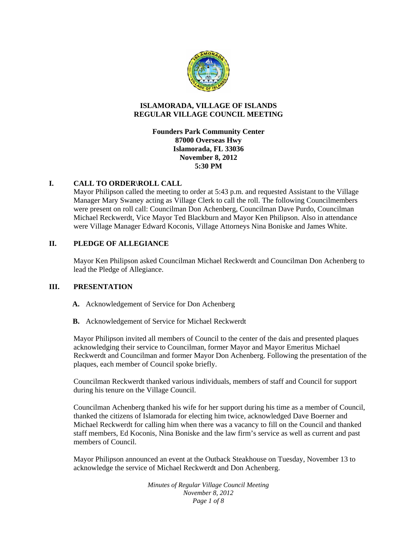

### **ISLAMORADA, VILLAGE OF ISLANDS REGULAR VILLAGE COUNCIL MEETING**

### **Founders Park Community Center 87000 Overseas Hwy Islamorada, FL 33036 November 8, 2012 5:30 PM**

## **I. CALL TO ORDER\ROLL CALL**

Mayor Philipson called the meeting to order at 5:43 p.m. and requested Assistant to the Village Manager Mary Swaney acting as Village Clerk to call the roll. The following Councilmembers were present on roll call: Councilman Don Achenberg, Councilman Dave Purdo, Councilman Michael Reckwerdt, Vice Mayor Ted Blackburn and Mayor Ken Philipson. Also in attendance were Village Manager Edward Koconis, Village Attorneys Nina Boniske and James White.

# **II. PLEDGE OF ALLEGIANCE**

Mayor Ken Philipson asked Councilman Michael Reckwerdt and Councilman Don Achenberg to lead the Pledge of Allegiance.

## **III. PRESENTATION**

- **A.** Acknowledgement of Service for Don Achenberg
- **B.** Acknowledgement of Service for Michael Reckwerdt

Mayor Philipson invited all members of Council to the center of the dais and presented plaques acknowledging their service to Councilman, former Mayor and Mayor Emeritus Michael Reckwerdt and Councilman and former Mayor Don Achenberg. Following the presentation of the plaques, each member of Council spoke briefly.

Councilman Reckwerdt thanked various individuals, members of staff and Council for support during his tenure on the Village Council.

Councilman Achenberg thanked his wife for her support during his time as a member of Council, thanked the citizens of Islamorada for electing him twice, acknowledged Dave Boerner and Michael Reckwerdt for calling him when there was a vacancy to fill on the Council and thanked staff members, Ed Koconis, Nina Boniske and the law firm's service as well as current and past members of Council.

Mayor Philipson announced an event at the Outback Steakhouse on Tuesday, November 13 to acknowledge the service of Michael Reckwerdt and Don Achenberg.

> *Minutes of Regular Village Council Meeting November 8, 2012 Page 1 of 8*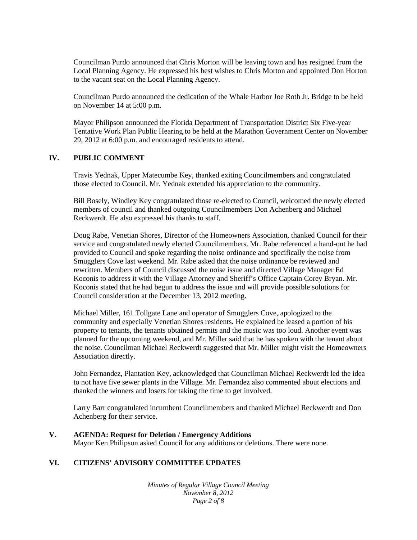Councilman Purdo announced that Chris Morton will be leaving town and has resigned from the Local Planning Agency. He expressed his best wishes to Chris Morton and appointed Don Horton to the vacant seat on the Local Planning Agency.

Councilman Purdo announced the dedication of the Whale Harbor Joe Roth Jr. Bridge to be held on November 14 at 5:00 p.m.

Mayor Philipson announced the Florida Department of Transportation District Six Five-year Tentative Work Plan Public Hearing to be held at the Marathon Government Center on November 29, 2012 at 6:00 p.m. and encouraged residents to attend.

## **IV. PUBLIC COMMENT**

Travis Yednak, Upper Matecumbe Key, thanked exiting Councilmembers and congratulated those elected to Council. Mr. Yednak extended his appreciation to the community.

Bill Bosely, Windley Key congratulated those re-elected to Council, welcomed the newly elected members of council and thanked outgoing Councilmembers Don Achenberg and Michael Reckwerdt. He also expressed his thanks to staff.

Doug Rabe, Venetian Shores, Director of the Homeowners Association, thanked Council for their service and congratulated newly elected Councilmembers. Mr. Rabe referenced a hand-out he had provided to Council and spoke regarding the noise ordinance and specifically the noise from Smugglers Cove last weekend. Mr. Rabe asked that the noise ordinance be reviewed and rewritten. Members of Council discussed the noise issue and directed Village Manager Ed Koconis to address it with the Village Attorney and Sheriff's Office Captain Corey Bryan. Mr. Koconis stated that he had begun to address the issue and will provide possible solutions for Council consideration at the December 13, 2012 meeting.

Michael Miller, 161 Tollgate Lane and operator of Smugglers Cove, apologized to the community and especially Venetian Shores residents. He explained he leased a portion of his property to tenants, the tenants obtained permits and the music was too loud. Another event was planned for the upcoming weekend, and Mr. Miller said that he has spoken with the tenant about the noise. Councilman Michael Reckwerdt suggested that Mr. Miller might visit the Homeowners Association directly.

John Fernandez, Plantation Key, acknowledged that Councilman Michael Reckwerdt led the idea to not have five sewer plants in the Village. Mr. Fernandez also commented about elections and thanked the winners and losers for taking the time to get involved.

Larry Barr congratulated incumbent Councilmembers and thanked Michael Reckwerdt and Don Achenberg for their service.

**V. AGENDA: Request for Deletion / Emergency Additions**  Mayor Ken Philipson asked Council for any additions or deletions. There were none.

## **VI. CITIZENS' ADVISORY COMMITTEE UPDATES**

*Minutes of Regular Village Council Meeting November 8, 2012 Page 2 of 8*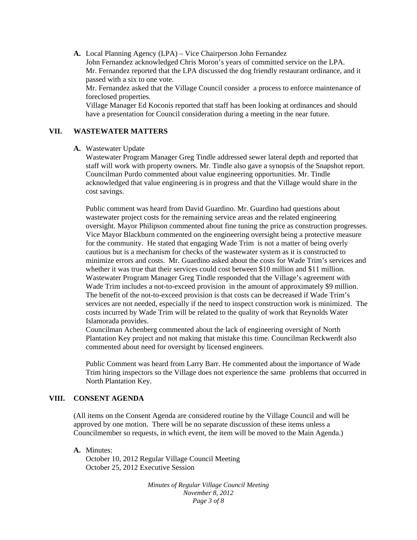**A.** Local Planning Agency (LPA) – Vice Chairperson John Fernandez John Fernandez acknowledged Chris Moron's years of committed service on the LPA. Mr. Fernandez reported that the LPA discussed the dog friendly restaurant ordinance, and it passed with a six to one vote. Mr. Fernandez asked that the Village Council consider a process to enforce maintenance of foreclosed properties. Village Manager Ed Koconis reported that staff has been looking at ordinances and should have a presentation for Council consideration during a meeting in the near future.

#### **VII. WASTEWATER MATTERS**

#### **A.** Wastewater Update

Wastewater Program Manager Greg Tindle addressed sewer lateral depth and reported that staff will work with property owners. Mr. Tindle also gave a synopsis of the Snapshot report. Councilman Purdo commented about value engineering opportunities. Mr. Tindle acknowledged that value engineering is in progress and that the Village would share in the cost savings.

Public comment was heard from David Guardino. Mr. Guardino had questions about wastewater project costs for the remaining service areas and the related engineering oversight. Mayor Philipson commented about fine tuning the price as construction progresses. Vice Mayor Blackburn commented on the engineering oversight being a protective measure for the community. He stated that engaging Wade Trim is not a matter of being overly cautious but is a mechanism for checks of the wastewater system as it is constructed to minimize errors and costs. Mr. Guardino asked about the costs for Wade Trim's services and whether it was true that their services could cost between \$10 million and \$11 million. Wastewater Program Manager Greg Tindle responded that the Village's agreement with Wade Trim includes a not-to-exceed provision in the amount of approximately \$9 million. The benefit of the not-to-exceed provision is that costs can be decreased if Wade Trim's services are not needed, especially if the need to inspect construction work is minimized. The costs incurred by Wade Trim will be related to the quality of work that Reynolds Water Islamorada provides.

Councilman Achenberg commented about the lack of engineering oversight of North Plantation Key project and not making that mistake this time. Councilman Reckwerdt also commented about need for oversight by licensed engineers.

Public Comment was heard from Larry Barr. He commented about the importance of Wade Trim hiring inspectors so the Village does not experience the same problems that occurred in North Plantation Key.

### **VIII. CONSENT AGENDA**

(All items on the Consent Agenda are considered routine by the Village Council and will be approved by one motion. There will be no separate discussion of these items unless a Councilmember so requests, in which event, the item will be moved to the Main Agenda.)

**A.** Minutes:

October 10, 2012 Regular Village Council Meeting October 25, 2012 Executive Session

> *Minutes of Regular Village Council Meeting November 8, 2012 Page 3 of 8*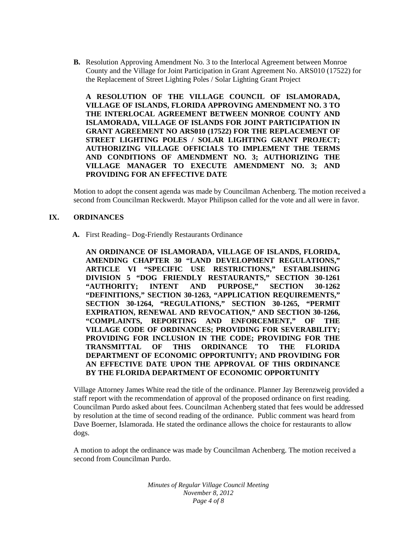**B.** Resolution Approving Amendment No. 3 to the Interlocal Agreement between Monroe County and the Village for Joint Participation in Grant Agreement No. ARS010 (17522) for the Replacement of Street Lighting Poles / Solar Lighting Grant Project

**A RESOLUTION OF THE VILLAGE COUNCIL OF ISLAMORADA, VILLAGE OF ISLANDS, FLORIDA APPROVING AMENDMENT NO. 3 TO THE INTERLOCAL AGREEMENT BETWEEN MONROE COUNTY AND ISLAMORADA, VILLAGE OF ISLANDS FOR JOINT PARTICIPATION IN GRANT AGREEMENT NO ARS010 (17522) FOR THE REPLACEMENT OF STREET LIGHTING POLES / SOLAR LIGHTING GRANT PROJECT; AUTHORIZING VILLAGE OFFICIALS TO IMPLEMENT THE TERMS AND CONDITIONS OF AMENDMENT NO. 3; AUTHORIZING THE VILLAGE MANAGER TO EXECUTE AMENDMENT NO. 3; AND PROVIDING FOR AN EFFECTIVE DATE** 

Motion to adopt the consent agenda was made by Councilman Achenberg. The motion received a second from Councilman Reckwerdt. Mayor Philipson called for the vote and all were in favor.

### **IX. ORDINANCES**

**A.** First Reading– Dog-Friendly Restaurants Ordinance

**AN ORDINANCE OF ISLAMORADA, VILLAGE OF ISLANDS, FLORIDA, AMENDING CHAPTER 30 "LAND DEVELOPMENT REGULATIONS," ARTICLE VI "SPECIFIC USE RESTRICTIONS," ESTABLISHING DIVISION 5 "DOG FRIENDLY RESTAURANTS," SECTION 30-1261 "AUTHORITY; INTENT AND PURPOSE," SECTION 30-1262 "DEFINITIONS," SECTION 30-1263, "APPLICATION REQUIREMENTS," SECTION 30-1264, "REGULATIONS," SECTION 30-1265, "PERMIT EXPIRATION, RENEWAL AND REVOCATION," AND SECTION 30-1266, "COMPLAINTS, REPORTING AND ENFORCEMENT," OF THE VILLAGE CODE OF ORDINANCES; PROVIDING FOR SEVERABILITY; PROVIDING FOR INCLUSION IN THE CODE; PROVIDING FOR THE TRANSMITTAL OF THIS ORDINANCE TO THE FLORIDA DEPARTMENT OF ECONOMIC OPPORTUNITY; AND PROVIDING FOR AN EFFECTIVE DATE UPON THE APPROVAL OF THIS ORDINANCE BY THE FLORIDA DEPARTMENT OF ECONOMIC OPPORTUNITY** 

Village Attorney James White read the title of the ordinance. Planner Jay Berenzweig provided a staff report with the recommendation of approval of the proposed ordinance on first reading. Councilman Purdo asked about fees. Councilman Achenberg stated that fees would be addressed by resolution at the time of second reading of the ordinance. Public comment was heard from Dave Boerner, Islamorada. He stated the ordinance allows the choice for restaurants to allow dogs.

A motion to adopt the ordinance was made by Councilman Achenberg. The motion received a second from Councilman Purdo.

> *Minutes of Regular Village Council Meeting November 8, 2012 Page 4 of 8*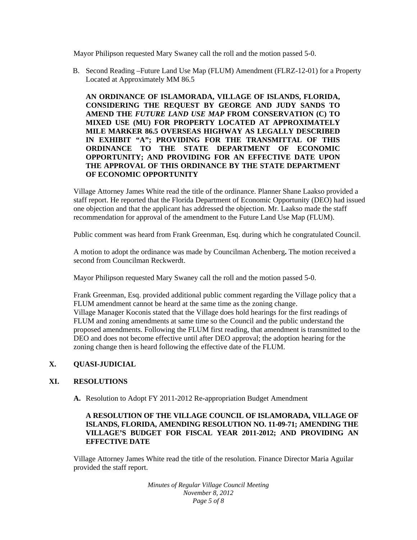Mayor Philipson requested Mary Swaney call the roll and the motion passed 5-0.

B. Second Reading –Future Land Use Map (FLUM) Amendment (FLRZ-12-01) for a Property Located at Approximately MM 86.5

**AN ORDINANCE OF ISLAMORADA, VILLAGE OF ISLANDS, FLORIDA, CONSIDERING THE REQUEST BY GEORGE AND JUDY SANDS TO AMEND THE** *FUTURE LAND USE MAP* **FROM CONSERVATION (C) TO MIXED USE (MU) FOR PROPERTY LOCATED AT APPROXIMATELY MILE MARKER 86.5 OVERSEAS HIGHWAY AS LEGALLY DESCRIBED IN EXHIBIT "A"; PROVIDING FOR THE TRANSMITTAL OF THIS ORDINANCE TO THE STATE DEPARTMENT OF ECONOMIC OPPORTUNITY; AND PROVIDING FOR AN EFFECTIVE DATE UPON THE APPROVAL OF THIS ORDINANCE BY THE STATE DEPARTMENT OF ECONOMIC OPPORTUNITY** 

Village Attorney James White read the title of the ordinance. Planner Shane Laakso provided a staff report. He reported that the Florida Department of Economic Opportunity (DEO) had issued one objection and that the applicant has addressed the objection. Mr. Laakso made the staff recommendation for approval of the amendment to the Future Land Use Map (FLUM).

Public comment was heard from Frank Greenman, Esq. during which he congratulated Council.

A motion to adopt the ordinance was made by Councilman Achenberg**.** The motion received a second from Councilman Reckwerdt.

Mayor Philipson requested Mary Swaney call the roll and the motion passed 5-0.

Frank Greenman, Esq. provided additional public comment regarding the Village policy that a FLUM amendment cannot be heard at the same time as the zoning change. Village Manager Koconis stated that the Village does hold hearings for the first readings of FLUM and zoning amendments at same time so the Council and the public understand the proposed amendments. Following the FLUM first reading, that amendment is transmitted to the DEO and does not become effective until after DEO approval; the adoption hearing for the zoning change then is heard following the effective date of the FLUM.

#### **X. QUASI-JUDICIAL**

#### **XI. RESOLUTIONS**

**A.** Resolution to Adopt FY 2011-2012 Re-appropriation Budget Amendment

### **A RESOLUTION OF THE VILLAGE COUNCIL OF ISLAMORADA, VILLAGE OF ISLANDS, FLORIDA, AMENDING RESOLUTION NO. 11-09-71; AMENDING THE VILLAGE'S BUDGET FOR FISCAL YEAR 2011-2012; AND PROVIDING AN EFFECTIVE DATE**

Village Attorney James White read the title of the resolution. Finance Director Maria Aguilar provided the staff report.

> *Minutes of Regular Village Council Meeting November 8, 2012 Page 5 of 8*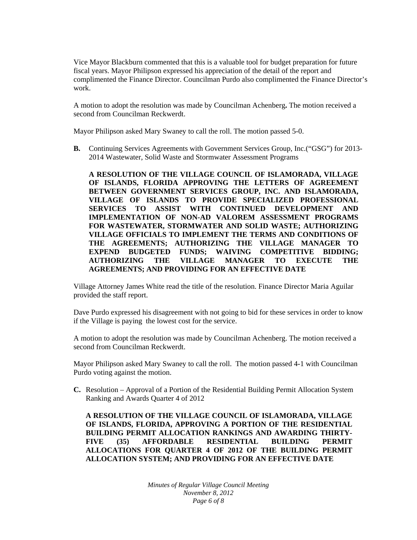Vice Mayor Blackburn commented that this is a valuable tool for budget preparation for future fiscal years. Mayor Philipson expressed his appreciation of the detail of the report and complimented the Finance Director. Councilman Purdo also complimented the Finance Director's work.

A motion to adopt the resolution was made by Councilman Achenberg**.** The motion received a second from Councilman Reckwerdt.

Mayor Philipson asked Mary Swaney to call the roll. The motion passed 5-0.

**B.** Continuing Services Agreements with Government Services Group, Inc.("GSG") for 2013- 2014 Wastewater, Solid Waste and Stormwater Assessment Programs

**A RESOLUTION OF THE VILLAGE COUNCIL OF ISLAMORADA, VILLAGE OF ISLANDS, FLORIDA APPROVING THE LETTERS OF AGREEMENT BETWEEN GOVERNMENT SERVICES GROUP, INC. AND ISLAMORADA, VILLAGE OF ISLANDS TO PROVIDE SPECIALIZED PROFESSIONAL SERVICES TO ASSIST WITH CONTINUED DEVELOPMENT AND IMPLEMENTATION OF NON-AD VALOREM ASSESSMENT PROGRAMS FOR WASTEWATER, STORMWATER AND SOLID WASTE; AUTHORIZING VILLAGE OFFICIALS TO IMPLEMENT THE TERMS AND CONDITIONS OF THE AGREEMENTS; AUTHORIZING THE VILLAGE MANAGER TO EXPEND BUDGETED FUNDS; WAIVING COMPETITIVE BIDDING; AUTHORIZING THE VILLAGE MANAGER TO EXECUTE THE AGREEMENTS; AND PROVIDING FOR AN EFFECTIVE DATE** 

Village Attorney James White read the title of the resolution. Finance Director Maria Aguilar provided the staff report.

Dave Purdo expressed his disagreement with not going to bid for these services in order to know if the Village is paying the lowest cost for the service.

A motion to adopt the resolution was made by Councilman Achenberg. The motion received a second from Councilman Reckwerdt.

Mayor Philipson asked Mary Swaney to call the roll. The motion passed 4-1 with Councilman Purdo voting against the motion.

**C.** Resolution – Approval of a Portion of the Residential Building Permit Allocation System Ranking and Awards Quarter 4 of 2012

 **A RESOLUTION OF THE VILLAGE COUNCIL OF ISLAMORADA, VILLAGE OF ISLANDS, FLORIDA, APPROVING A PORTION OF THE RESIDENTIAL BUILDING PERMIT ALLOCATION RANKINGS AND AWARDING THIRTY-FIVE (35) AFFORDABLE RESIDENTIAL BUILDING PERMIT ALLOCATIONS FOR QUARTER 4 OF 2012 OF THE BUILDING PERMIT ALLOCATION SYSTEM; AND PROVIDING FOR AN EFFECTIVE DATE** 

> *Minutes of Regular Village Council Meeting November 8, 2012 Page 6 of 8*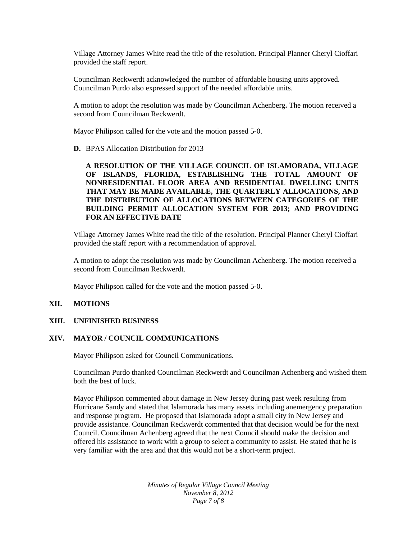Village Attorney James White read the title of the resolution. Principal Planner Cheryl Cioffari provided the staff report.

Councilman Reckwerdt acknowledged the number of affordable housing units approved. Councilman Purdo also expressed support of the needed affordable units.

A motion to adopt the resolution was made by Councilman Achenberg**.** The motion received a second from Councilman Reckwerdt.

Mayor Philipson called for the vote and the motion passed 5-0.

**D.** BPAS Allocation Distribution for 2013

**A RESOLUTION OF THE VILLAGE COUNCIL OF ISLAMORADA, VILLAGE OF ISLANDS, FLORIDA, ESTABLISHING THE TOTAL AMOUNT OF NONRESIDENTIAL FLOOR AREA AND RESIDENTIAL DWELLING UNITS THAT MAY BE MADE AVAILABLE, THE QUARTERLY ALLOCATIONS, AND THE DISTRIBUTION OF ALLOCATIONS BETWEEN CATEGORIES OF THE BUILDING PERMIT ALLOCATION SYSTEM FOR 2013; AND PROVIDING FOR AN EFFECTIVE DATE** 

Village Attorney James White read the title of the resolution. Principal Planner Cheryl Cioffari provided the staff report with a recommendation of approval.

A motion to adopt the resolution was made by Councilman Achenberg**.** The motion received a second from Councilman Reckwerdt.

Mayor Philipson called for the vote and the motion passed 5-0.

#### **XII. MOTIONS**

#### **XIII. UNFINISHED BUSINESS**

#### **XIV. MAYOR / COUNCIL COMMUNICATIONS**

Mayor Philipson asked for Council Communications.

Councilman Purdo thanked Councilman Reckwerdt and Councilman Achenberg and wished them both the best of luck.

Mayor Philipson commented about damage in New Jersey during past week resulting from Hurricane Sandy and stated that Islamorada has many assets including anemergency preparation and response program. He proposed that Islamorada adopt a small city in New Jersey and provide assistance. Councilman Reckwerdt commented that that decision would be for the next Council. Councilman Achenberg agreed that the next Council should make the decision and offered his assistance to work with a group to select a community to assist. He stated that he is very familiar with the area and that this would not be a short-term project.

> *Minutes of Regular Village Council Meeting November 8, 2012 Page 7 of 8*